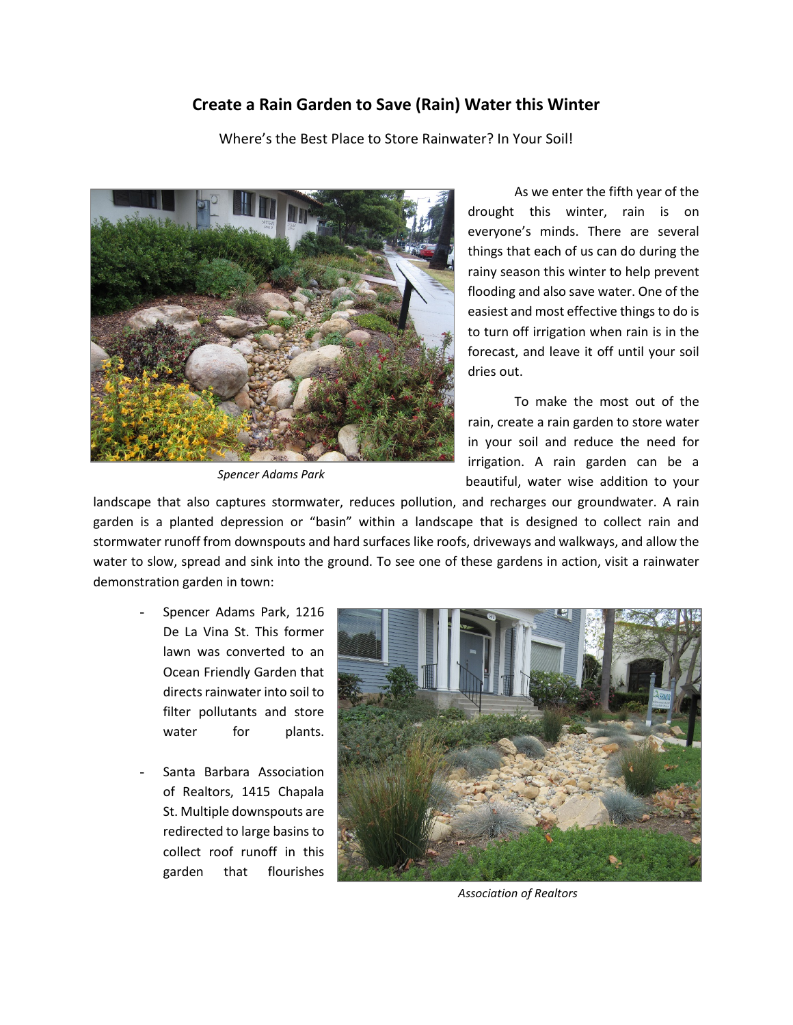## **Create a Rain Garden to Save (Rain) Water this Winter**

Where's the Best Place to Store Rainwater? In Your Soil!



*Spencer Adams Park*

As we enter the fifth year of the drought this winter, rain is on everyone's minds. There are several things that each of us can do during the rainy season this winter to help prevent flooding and also save water. One of the easiest and most effective things to do is to turn off irrigation when rain is in the forecast, and leave it off until your soil dries out.

To make the most out of the rain, create a rain garden to store water in your soil and reduce the need for irrigation. A rain garden can be a beautiful, water wise addition to your

landscape that also captures stormwater, reduces pollution, and recharges our groundwater. A rain garden is a planted depression or "basin" within a landscape that is designed to collect rain and stormwater runoff from downspouts and hard surfaces like roofs, driveways and walkways, and allow the water to slow, spread and sink into the ground. To see one of these gardens in action, visit a rainwater demonstration garden in town:

- Spencer Adams Park, 1216 De La Vina St. This former lawn was converted to an Ocean Friendly Garden that directs rainwater into soil to filter pollutants and store water for plants.
- Santa Barbara Association of Realtors, 1415 Chapala St. Multiple downspouts are redirected to large basins to collect roof runoff in this garden that flourishes



*Association of Realtors*